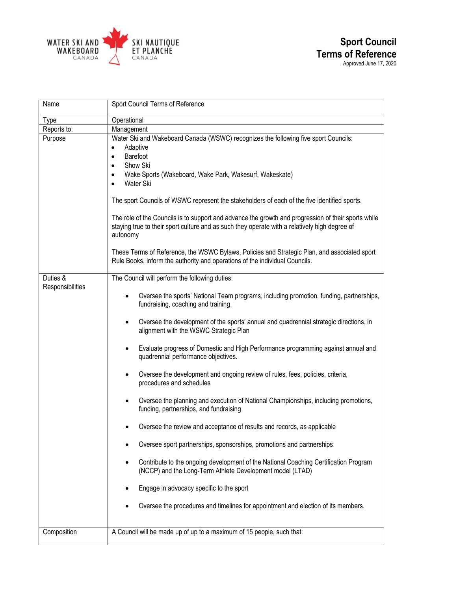

| Name             | Sport Council Terms of Reference                                                                                                                                                                                                                                                                                                                                                                                                                                                                                                                                                                                                                                                                                                                                                                                                                                                                                                                                                                                                                                                                                                    |
|------------------|-------------------------------------------------------------------------------------------------------------------------------------------------------------------------------------------------------------------------------------------------------------------------------------------------------------------------------------------------------------------------------------------------------------------------------------------------------------------------------------------------------------------------------------------------------------------------------------------------------------------------------------------------------------------------------------------------------------------------------------------------------------------------------------------------------------------------------------------------------------------------------------------------------------------------------------------------------------------------------------------------------------------------------------------------------------------------------------------------------------------------------------|
| Type             | Operational                                                                                                                                                                                                                                                                                                                                                                                                                                                                                                                                                                                                                                                                                                                                                                                                                                                                                                                                                                                                                                                                                                                         |
| Reports to:      | Management                                                                                                                                                                                                                                                                                                                                                                                                                                                                                                                                                                                                                                                                                                                                                                                                                                                                                                                                                                                                                                                                                                                          |
| Purpose          | Water Ski and Wakeboard Canada (WSWC) recognizes the following five sport Councils:<br>Adaptive<br>$\bullet$<br>Barefoot<br>$\bullet$<br>Show Ski<br>$\bullet$<br>Wake Sports (Wakeboard, Wake Park, Wakesurf, Wakeskate)<br>$\bullet$<br>Water Ski<br>$\bullet$<br>The sport Councils of WSWC represent the stakeholders of each of the five identified sports.                                                                                                                                                                                                                                                                                                                                                                                                                                                                                                                                                                                                                                                                                                                                                                    |
|                  | The role of the Councils is to support and advance the growth and progression of their sports while<br>staying true to their sport culture and as such they operate with a relatively high degree of<br>autonomy<br>These Terms of Reference, the WSWC Bylaws, Policies and Strategic Plan, and associated sport<br>Rule Books, inform the authority and operations of the individual Councils.                                                                                                                                                                                                                                                                                                                                                                                                                                                                                                                                                                                                                                                                                                                                     |
| Duties &         | The Council will perform the following duties:                                                                                                                                                                                                                                                                                                                                                                                                                                                                                                                                                                                                                                                                                                                                                                                                                                                                                                                                                                                                                                                                                      |
| Responsibilities | Oversee the sports' National Team programs, including promotion, funding, partnerships,<br>fundraising, coaching and training.<br>Oversee the development of the sports' annual and quadrennial strategic directions, in<br>$\bullet$<br>alignment with the WSWC Strategic Plan<br>Evaluate progress of Domestic and High Performance programming against annual and<br>$\bullet$<br>quadrennial performance objectives.<br>Oversee the development and ongoing review of rules, fees, policies, criteria,<br>$\bullet$<br>procedures and schedules<br>Oversee the planning and execution of National Championships, including promotions,<br>funding, partnerships, and fundraising<br>Oversee the review and acceptance of results and records, as applicable<br>Oversee sport partnerships, sponsorships, promotions and partnerships<br>Contribute to the ongoing development of the National Coaching Certification Program<br>٠<br>(NCCP) and the Long-Term Athlete Development model (LTAD)<br>Engage in advocacy specific to the sport<br>Oversee the procedures and timelines for appointment and election of its members. |
| Composition      | A Council will be made up of up to a maximum of 15 people, such that:                                                                                                                                                                                                                                                                                                                                                                                                                                                                                                                                                                                                                                                                                                                                                                                                                                                                                                                                                                                                                                                               |
|                  |                                                                                                                                                                                                                                                                                                                                                                                                                                                                                                                                                                                                                                                                                                                                                                                                                                                                                                                                                                                                                                                                                                                                     |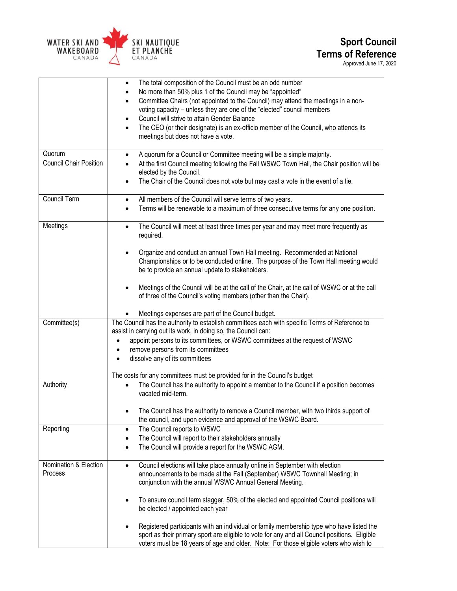

## **Sport Council Terms of Reference** Approved June 17, 2020

 The total composition of the Council must be an odd number No more than 50% plus 1 of the Council may be "appointed" Committee Chairs (not appointed to the Council) may attend the meetings in a nonvoting capacity – unless they are one of the "elected" council members Council will strive to attain Gender Balance The CEO (or their designate) is an ex-officio member of the Council, who attends its meetings but does not have a vote. Quorum **A** A quorum for a Council or Committee meeting will be a simple majority. Council Chair Position **•** At the first Council meeting following the Fall WSWC Town Hall, the Chair position will be elected by the Council. The Chair of the Council does not vote but may cast a vote in the event of a tie. Council Term **a All members of the Council will serve terms of two years.**  Terms will be renewable to a maximum of three consecutive terms for any one position. Meetings **The Council will meet at least three times per year and may meet more frequently as** required. Organize and conduct an annual Town Hall meeting. Recommended at National Championships or to be conducted online. The purpose of the Town Hall meeting would be to provide an annual update to stakeholders. Meetings of the Council will be at the call of the Chair, at the call of WSWC or at the call of three of the Council's voting members (other than the Chair). Meetings expenses are part of the Council budget. Committee(s) The Council has the authority to establish committees each with specific Terms of Reference to assist in carrying out its work, in doing so, the Council can: appoint persons to its committees, or WSWC committees at the request of WSWC • remove persons from its committees dissolve any of its committees The costs for any committees must be provided for in the Council's budget Authority **The Council has the authority to appoint a member to the Council if a position becomes** vacated mid-term. The Council has the authority to remove a Council member, with two thirds support of the council, and upon evidence and approval of the WSWC Board. Reporting **Reporting Reporting Reporting Reporting**  The Council will report to their stakeholders annually The Council will provide a report for the WSWC AGM. Nomination & Election Process Council elections will take place annually online in September with election announcements to be made at the Fall (September) WSWC Townhall Meeting; in conjunction with the annual WSWC Annual General Meeting. To ensure council term stagger, 50% of the elected and appointed Council positions will be elected / appointed each year Registered participants with an individual or family membership type who have listed the sport as their primary sport are eligible to vote for any and all Council positions. Eligible voters must be 18 years of age and older. Note: For those eligible voters who wish to